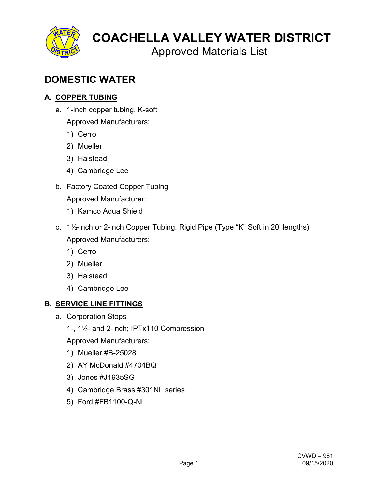

Approved Materials List

# **DOMESTIC WATER**

# **A. COPPER TUBING**

a. 1-inch copper tubing, K-soft

Approved Manufacturers:

- 1) Cerro
- 2) Mueller
- 3) Halstead
- 4) Cambridge Lee
- b. Factory Coated Copper Tubing Approved Manufacturer:
	- 1) Kamco Aqua Shield
- c. 1½-inch or 2-inch Copper Tubing, Rigid Pipe (Type "K" Soft in 20' lengths) Approved Manufacturers:
	- 1) Cerro
	- 2) Mueller
	- 3) Halstead
	- 4) Cambridge Lee

# **B. SERVICE LINE FITTINGS**

- a. Corporation Stops
	- 1-, 1½- and 2-inch; IPTx110 Compression

- 1) Mueller #B-25028
- 2) AY McDonald #4704BQ
- 3) Jones #J1935SG
- 4) Cambridge Brass #301NL series
- 5) Ford #FB1100-Q-NL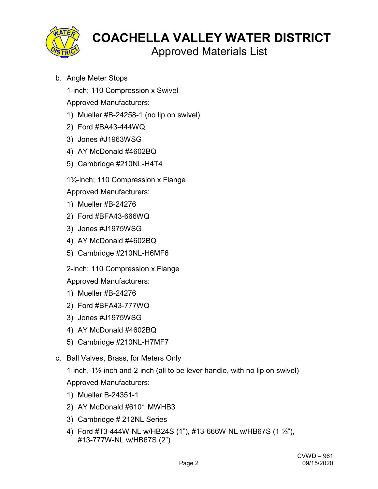

- Approved Materials List
- b. Angle Meter Stops

1-inch; 110 Compression x Swivel

Approved Manufacturers:

- 1) Mueller #B-24258-1 (no lip on swivel)
- 2) Ford #BA43-444WQ
- 3) Jones #J1963WSG
- 4) AY McDonald #4602BQ
- 5) Cambridge #210NL-H4T4

1½-inch; 110 Compression x Flange

Approved Manufacturers:

- 1) Mueller #B-24276
- 2) Ford #BFA43-666WQ
- 3) Jones #J1975WSG
- 4) AY McDonald #4602BQ
- 5) Cambridge #210NL-H6MF6

2-inch; 110 Compression x Flange

Approved Manufacturers:

- 1) Mueller #B-24276
- 2) Ford #BFA43-777WQ
- 3) Jones #J1975WSG
- 4) AY McDonald #4602BQ
- 5) Cambridge #210NL-H7MF7
- c. Ball Valves, Brass, for Meters Only

1-inch, 1½-inch and 2-inch (all to be lever handle, with no lip on swivel) Approved Manufacturers:

- 1) Mueller B-24351-1
- 2) AY McDonald #6101 MWHB3
- 3) Cambridge # 212NL Series
- 4) Ford #13-444W-NL w/HB24S (1"), #13-666W-NL w/HB67S (1 ½"), #13-777W-NL w/HB67S (2")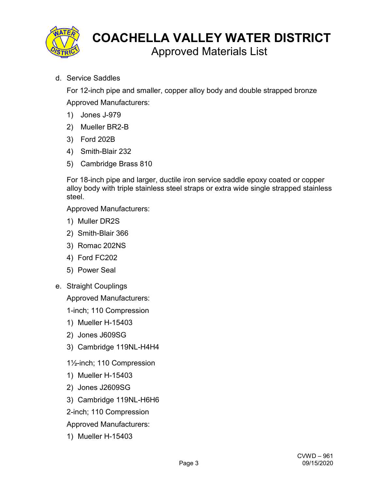

d. Service Saddles

For 12-inch pipe and smaller, copper alloy body and double strapped bronze Approved Manufacturers:

- 1) Jones J-979
- 2) Mueller BR2-B
- 3) Ford 202B
- 4) Smith-Blair 232
- 5) Cambridge Brass 810

For 18-inch pipe and larger, ductile iron service saddle epoxy coated or copper alloy body with triple stainless steel straps or extra wide single strapped stainless steel.

Approved Manufacturers:

- 1) Muller DR2S
- 2) Smith-Blair 366
- 3) Romac 202NS
- 4) Ford FC202
- 5) Power Seal
- e. Straight Couplings

Approved Manufacturers:

1-inch; 110 Compression

- 1) Mueller H-15403
- 2) Jones J609SG
- 3) Cambridge 119NL-H4H4
- 1½-inch; 110 Compression
- 1) Mueller H-15403
- 2) Jones J2609SG
- 3) Cambridge 119NL-H6H6
- 2-inch; 110 Compression

Approved Manufacturers:

1) Mueller H-15403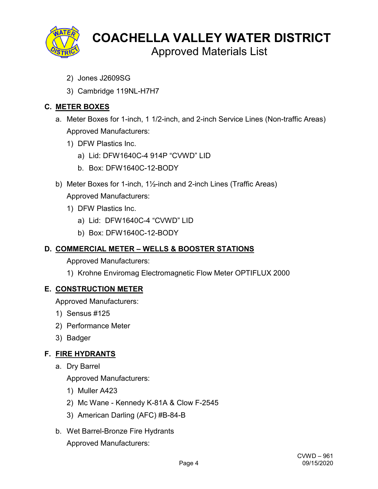

Approved Materials List

- 2) Jones J2609SG
- 3) Cambridge 119NL-H7H7

# **C. METER BOXES**

- a. Meter Boxes for 1-inch, 1 1/2-inch, and 2-inch Service Lines (Non-traffic Areas) Approved Manufacturers:
	- 1) DFW Plastics Inc.
		- a) Lid: DFW1640C-4 914P "CVWD" LID
		- b. Box: DFW1640C-12-BODY
- b) Meter Boxes for 1-inch, 1½-inch and 2-inch Lines (Traffic Areas) Approved Manufacturers:
	- 1) DFW Plastics Inc.
		- a) Lid: DFW1640C-4 "CVWD" LID
		- b) Box: DFW1640C-12-BODY

# **D. COMMERCIAL METER – WELLS & BOOSTER STATIONS**

Approved Manufacturers:

1) Krohne Enviromag Electromagnetic Flow Meter OPTIFLUX 2000

# **E. CONSTRUCTION METER**

Approved Manufacturers:

- 1) Sensus #125
- 2) Performance Meter
- 3) Badger

# **F. FIRE HYDRANTS**

a. Dry Barrel

- 1) Muller A423
- 2) Mc Wane Kennedy K-81A & Clow F-2545
- 3) American Darling (AFC) #B-84-B
- b. Wet Barrel-Bronze Fire Hydrants
	- Approved Manufacturers: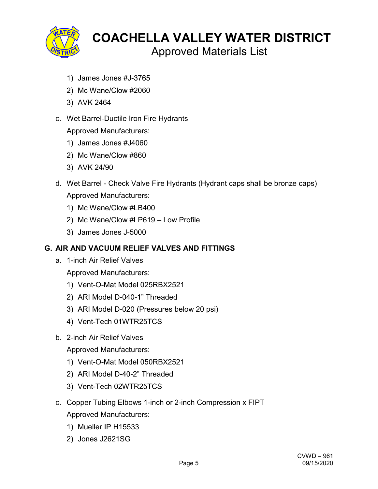

Approved Materials List

- 1) James Jones #J-3765
- 2) Mc Wane/Clow #2060
- 3) AVK 2464
- c. Wet Barrel-Ductile Iron Fire Hydrants

Approved Manufacturers:

- 1) James Jones #J4060
- 2) Mc Wane/Clow #860
- 3) AVK 24/90
- d. Wet Barrel Check Valve Fire Hydrants (Hydrant caps shall be bronze caps) Approved Manufacturers:
	- 1) Mc Wane/Clow #LB400
	- 2) Mc Wane/Clow #LP619 Low Profile
	- 3) James Jones J-5000

#### **G. AIR AND VACUUM RELIEF VALVES AND FITTINGS**

a. 1-inch Air Relief Valves

Approved Manufacturers:

- 1) Vent-O-Mat Model 025RBX2521
- 2) ARI Model D-040-1" Threaded
- 3) ARI Model D-020 (Pressures below 20 psi)
- 4) Vent-Tech 01WTR25TCS
- b. 2-inch Air Relief Valves

- 1) Vent-O-Mat Model 050RBX2521
- 2) ARI Model D-40-2" Threaded
- 3) Vent-Tech 02WTR25TCS
- c. Copper Tubing Elbows 1-inch or 2-inch Compression x FIPT Approved Manufacturers:
	- 1) Mueller IP H15533
	- 2) Jones J2621SG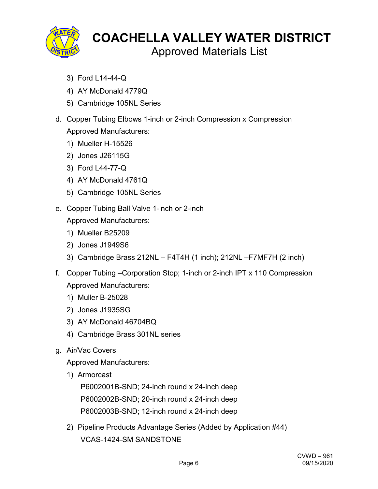

Approved Materials List

- 3) Ford L14-44-Q
- 4) AY McDonald 4779Q
- 5) Cambridge 105NL Series
- d. Copper Tubing Elbows 1-inch or 2-inch Compression x Compression Approved Manufacturers:
	- 1) Mueller H-15526
	- 2) Jones J26115G
	- 3) Ford L44-77-Q
	- 4) AY McDonald 4761Q
	- 5) Cambridge 105NL Series
- e. Copper Tubing Ball Valve 1-inch or 2-inch

Approved Manufacturers:

- 1) Mueller B25209
- 2) Jones J1949S6
- 3) Cambridge Brass 212NL F4T4H (1 inch); 212NL –F7MF7H (2 inch)
- f. Copper Tubing –Corporation Stop; 1-inch or 2-inch IPT x 110 Compression Approved Manufacturers:
	- 1) Muller B-25028
	- 2) Jones J1935SG
	- 3) AY McDonald 46704BQ
	- 4) Cambridge Brass 301NL series
- g. Air/Vac Covers

Approved Manufacturers:

1) Armorcast

P6002001B-SND; 24-inch round x 24-inch deep P6002002B-SND; 20-inch round x 24-inch deep P6002003B-SND; 12-inch round x 24-inch deep

2) Pipeline Products Advantage Series (Added by Application #44) VCAS-1424-SM SANDSTONE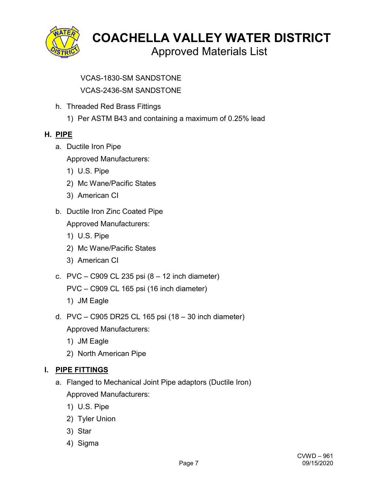

Approved Materials List

VCAS-1830-SM SANDSTONE

VCAS-2436-SM SANDSTONE

- h. Threaded Red Brass Fittings
	- 1) Per ASTM B43 and containing a maximum of 0.25% lead

# **H. PIPE**

a. Ductile Iron Pipe

Approved Manufacturers:

- 1) U.S. Pipe
- 2) Mc Wane/Pacific States
- 3) American CI
- b. Ductile Iron Zinc Coated Pipe

Approved Manufacturers:

- 1) U.S. Pipe
- 2) Mc Wane/Pacific States
- 3) American CI
- c.  $PVC C909 CL 235 psi (8 12 inch diameter)$

PVC – C909 CL 165 psi (16 inch diameter)

- 1) JM Eagle
- d. PVC C905 DR25 CL 165 psi (18 30 inch diameter) Approved Manufacturers:
	- 1) JM Eagle
	- 2) North American Pipe

# **I. PIPE FITTINGS**

- a. Flanged to Mechanical Joint Pipe adaptors (Ductile Iron) Approved Manufacturers:
	- 1) U.S. Pipe
	- 2) Tyler Union
	- 3) Star
	- 4) Sigma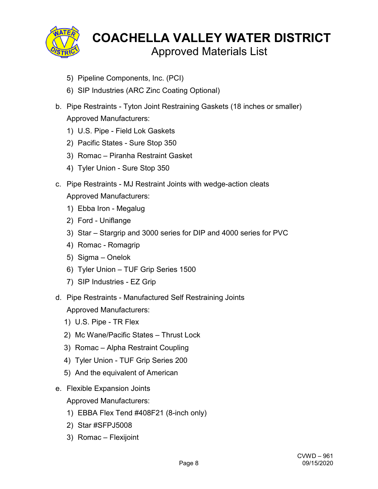

- 5) Pipeline Components, Inc. (PCI)
- 6) SIP Industries (ARC Zinc Coating Optional)
- b. Pipe Restraints Tyton Joint Restraining Gaskets (18 inches or smaller) Approved Manufacturers:
	- 1) U.S. Pipe Field Lok Gaskets
	- 2) Pacific States Sure Stop 350
	- 3) Romac Piranha Restraint Gasket
	- 4) Tyler Union Sure Stop 350
- c. Pipe Restraints MJ Restraint Joints with wedge-action cleats Approved Manufacturers:
	- 1) Ebba Iron Megalug
	- 2) Ford Uniflange
	- 3) Star Stargrip and 3000 series for DIP and 4000 series for PVC
	- 4) Romac Romagrip
	- 5) Sigma Onelok
	- 6) Tyler Union TUF Grip Series 1500
	- 7) SIP Industries EZ Grip
- d. Pipe Restraints Manufactured Self Restraining Joints Approved Manufacturers:
	- 1) U.S. Pipe TR Flex
	- 2) Mc Wane/Pacific States Thrust Lock
	- 3) Romac Alpha Restraint Coupling
	- 4) Tyler Union TUF Grip Series 200
	- 5) And the equivalent of American
- e. Flexible Expansion Joints

- 1) EBBA Flex Tend #408F21 (8-inch only)
- 2) Star #SFPJ5008
- 3) Romac Flexijoint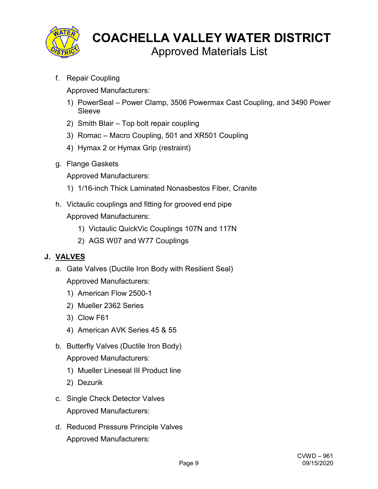

Approved Materials List

f. Repair Coupling

Approved Manufacturers:

- 1) PowerSeal Power Clamp, 3506 Powermax Cast Coupling, and 3490 Power Sleeve
- 2) Smith Blair Top bolt repair coupling
- 3) Romac Macro Coupling, 501 and XR501 Coupling
- 4) Hymax 2 or Hymax Grip (restraint)
- g. Flange Gaskets

Approved Manufacturers:

- 1) 1/16-inch Thick Laminated Nonasbestos Fiber, Cranite
- h. Victaulic couplings and fitting for grooved end pipe Approved Manufacturers:
	- 1) Victaulic QuickVic Couplings 107N and 117N
	- 2) AGS W07 and W77 Couplings

# **J. VALVES**

- a. Gate Valves (Ductile Iron Body with Resilient Seal) Approved Manufacturers:
	- 1) American Flow 2500-1
	- 2) Mueller 2362 Series
	- 3) Clow F61
	- 4) American AVK Series 45 & 55
- b. Butterfly Valves (Ductile Iron Body) Approved Manufacturers:
	- 1) Mueller Lineseal III Product line
	- 2) Dezurik
- c. Single Check Detector Valves Approved Manufacturers:
- d. Reduced Pressure Principle Valves Approved Manufacturers: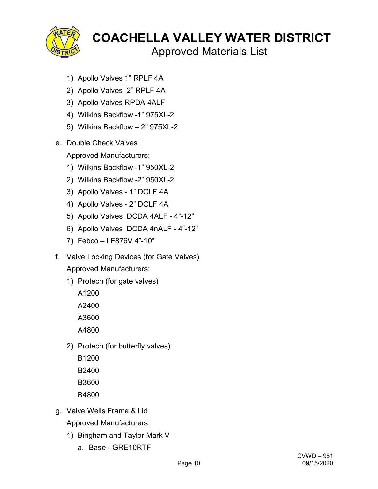

Approved Materials List

- 1) Apollo Valves 1" RPLF 4A
- 2) Apollo Valves 2" RPLF 4A
- 3) Apollo Valves RPDA 4ALF
- 4) Wilkins Backflow -1" 975XL-2
- 5) Wilkins Backflow 2" 975XL-2
- e. Double Check Valves

- 1) Wilkins Backflow -1" 950XL-2
- 2) Wilkins Backflow -2" 950XL-2
- 3) Apollo Valves 1" DCLF 4A
- 4) Apollo Valves 2" DCLF 4A
- 5) Apollo Valves DCDA 4ALF 4"-12"
- 6) Apollo Valves DCDA 4nALF 4"-12"
- 7) Febco LF876V 4"-10"
- f. Valve Locking Devices (for Gate Valves) Approved Manufacturers:
	- 1) Protech (for gate valves)
		- A1200 A2400 A3600
		- A4800
	- 2) Protech (for butterfly valves)
		- B1200
		- B2400
		- B3600
		- B4800
- g. Valve Wells Frame & Lid Approved Manufacturers:
	- 1) Bingham and Taylor Mark V
		- a. Base GRE10RTF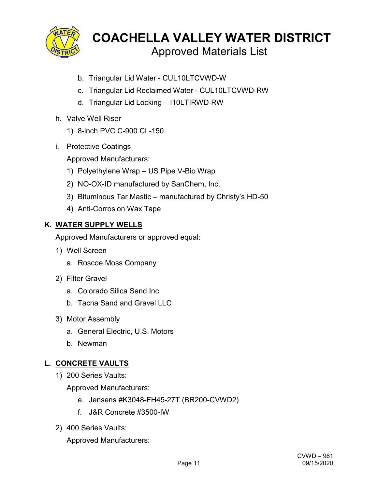

- b. Triangular Lid Water CUL10LTCVWD-W
- c. Triangular Lid Reclaimed Water CUL10LTCVWD-RW
- d. Triangular Lid Locking I10LTIRWD-RW
- h. Valve Well Riser
	- 1) 8-inch PVC C-900 CL-150
- i. Protective Coatings

Approved Manufacturers:

- 1) Polyethylene Wrap US Pipe V-Bio Wrap
- 2) NO-OX-ID manufactured by SanChem, Inc.
- 3) Bituminous Tar Mastic manufactured by Christy's HD-50
- 4) Anti-Corrosion Wax Tape

#### **K. WATER SUPPLY WELLS**

Approved Manufacturers or approved equal:

- 1) Well Screen
	- a. Roscoe Moss Company
- 2) Filter Gravel
	- a. Colorado Silica Sand Inc.
	- b. Tacna Sand and Gravel LLC
- 3) Motor Assembly
	- a. General Electric, U.S. Motors
	- b. Newman

# **L. CONCRETE VAULTS**

1) 200 Series Vaults:

Approved Manufacturers:

- e. Jensens #K3048-FH45-27T (BR200-CVWD2)
- f. J&R Concrete #3500-IW
- 2) 400 Series Vaults: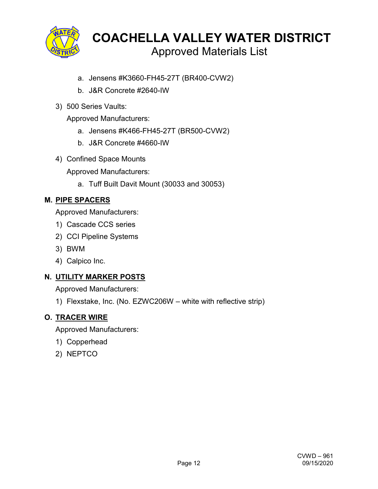

- a. Jensens #K3660-FH45-27T (BR400-CVW2)
- b. J&R Concrete #2640-IW
- 3) 500 Series Vaults:

Approved Manufacturers:

- a. Jensens #K466-FH45-27T (BR500-CVW2)
- b. J&R Concrete #4660-IW
- 4) Confined Space Mounts

Approved Manufacturers:

a. Tuff Built Davit Mount (30033 and 30053)

# **M. PIPE SPACERS**

Approved Manufacturers:

- 1) Cascade CCS series
- 2) CCI Pipeline Systems
- 3) BWM
- 4) Calpico Inc.

# **N. UTILITY MARKER POSTS**

Approved Manufacturers:

1) Flexstake, Inc. (No. EZWC206W – white with reflective strip)

# **O. TRACER WIRE**

- 1) Copperhead
- 2) NEPTCO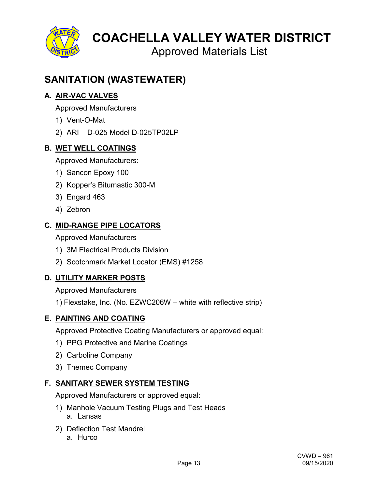

Approved Materials List

# **SANITATION (WASTEWATER)**

# **A. AIR-VAC VALVES**

Approved Manufacturers

- 1) Vent-O-Mat
- 2) ARI D-025 Model D-025TP02LP

# **B. WET WELL COATINGS**

Approved Manufacturers:

- 1) Sancon Epoxy 100
- 2) Kopper's Bitumastic 300-M
- 3) Engard 463
- 4) Zebron

# **C. MID-RANGE PIPE LOCATORS**

Approved Manufacturers

- 1) 3M Electrical Products Division
- 2) Scotchmark Market Locator (EMS) #1258

# **D. UTILITY MARKER POSTS**

Approved Manufacturers

1) Flexstake, Inc. (No. EZWC206W – white with reflective strip)

# **E. PAINTING AND COATING**

Approved Protective Coating Manufacturers or approved equal:

- 1) PPG Protective and Marine Coatings
- 2) Carboline Company
- 3) Tnemec Company

# **F. SANITARY SEWER SYSTEM TESTING**

- 1) Manhole Vacuum Testing Plugs and Test Heads a. Lansas
- 2) Deflection Test Mandrel
	- a. Hurco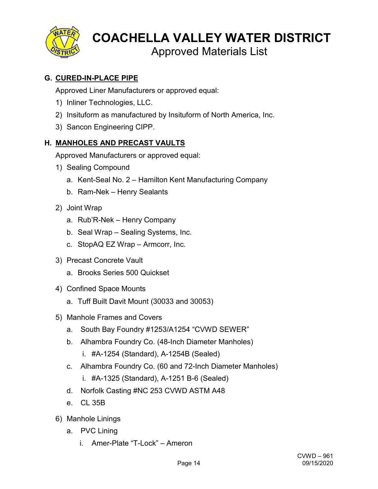

Approved Materials List

# **G. CURED-IN-PLACE PIPE**

Approved Liner Manufacturers or approved equal:

- 1) Inliner Technologies, LLC.
- 2) Insituform as manufactured by Insituform of North America, Inc.
- 3) Sancon Engineering CIPP.

# **H. MANHOLES AND PRECAST VAULTS**

- 1) Sealing Compound
	- a. Kent-Seal No. 2 Hamilton Kent Manufacturing Company
	- b. Ram-Nek Henry Sealants
- 2) Joint Wrap
	- a. Rub'R-Nek Henry Company
	- b. Seal Wrap Sealing Systems, Inc.
	- c. StopAQ EZ Wrap Armcorr, Inc.
- 3) Precast Concrete Vault
	- a. Brooks Series 500 Quickset
- 4) Confined Space Mounts
	- a. Tuff Built Davit Mount (30033 and 30053)
- 5) Manhole Frames and Covers
	- a. South Bay Foundry #1253/A1254 "CVWD SEWER"
	- b. Alhambra Foundry Co. (48-Inch Diameter Manholes)
		- i. #A-1254 (Standard), A-1254B (Sealed)
	- c. Alhambra Foundry Co. (60 and 72-Inch Diameter Manholes)
		- i. #A-1325 (Standard), A-1251 B-6 (Sealed)
	- d. Norfolk Casting #NC 253 CVWD ASTM A48
	- e. CL 35B
- 6) Manhole Linings
	- a. PVC Lining
		- i. Amer-Plate "T-Lock" Ameron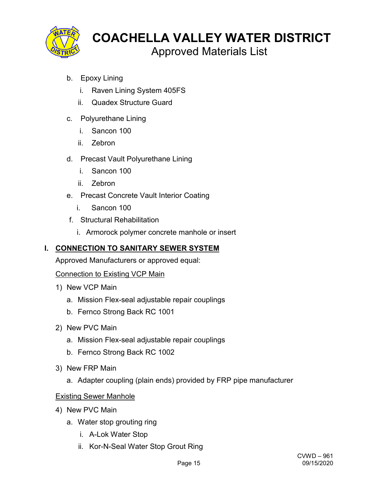

- b. Epoxy Lining
	- i. Raven Lining System 405FS
	- ii. Quadex Structure Guard
- c. Polyurethane Lining
	- i. Sancon 100
	- ii. Zebron
- d. Precast Vault Polyurethane Lining
	- i. Sancon 100
	- ii. Zebron
- e. Precast Concrete Vault Interior Coating
	- i. Sancon 100
- f. Structural Rehabilitation
	- i. Armorock polymer concrete manhole or insert

# **I. CONNECTION TO SANITARY SEWER SYSTEM**

Approved Manufacturers or approved equal:

# Connection to Existing VCP Main

- 1) New VCP Main
	- a. Mission Flex-seal adjustable repair couplings
	- b. Fernco Strong Back RC 1001
- 2) New PVC Main
	- a. Mission Flex-seal adjustable repair couplings
	- b. Fernco Strong Back RC 1002
- 3) New FRP Main
	- a. Adapter coupling (plain ends) provided by FRP pipe manufacturer

# Existing Sewer Manhole

- 4) New PVC Main
	- a. Water stop grouting ring
		- i. A-Lok Water Stop
		- ii. Kor-N-Seal Water Stop Grout Ring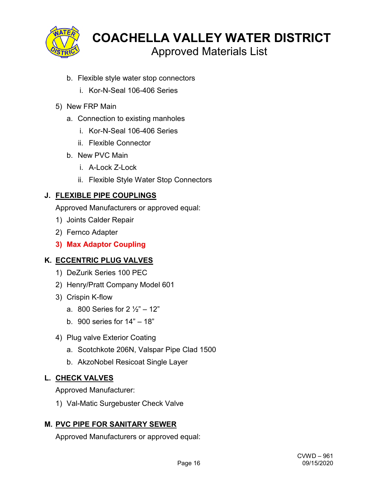

- b. Flexible style water stop connectors
	- i. Kor-N-Seal 106-406 Series
- 5) New FRP Main
	- a. Connection to existing manholes
		- i. Kor-N-Seal 106-406 Series
		- ii. Flexible Connector
	- b. New PVC Main
		- i. A-Lock Z-Lock
		- ii. Flexible Style Water Stop Connectors

#### **J. FLEXIBLE PIPE COUPLINGS**

Approved Manufacturers or approved equal:

- 1) Joints Calder Repair
- 2) Fernco Adapter
- **3) Max Adaptor Coupling**

#### **K. ECCENTRIC PLUG VALVES**

- 1) DeZurik Series 100 PEC
- 2) Henry/Pratt Company Model 601
- 3) Crispin K-flow
	- a. 800 Series for  $2\frac{1}{2} 12$ "
	- b. 900 series for 14" 18"
- 4) Plug valve Exterior Coating
	- a. Scotchkote 206N, Valspar Pipe Clad 1500
	- b. AkzoNobel Resicoat Single Layer

#### **L. CHECK VALVES**

Approved Manufacturer:

1) Val-Matic Surgebuster Check Valve

# **M. PVC PIPE FOR SANITARY SEWER**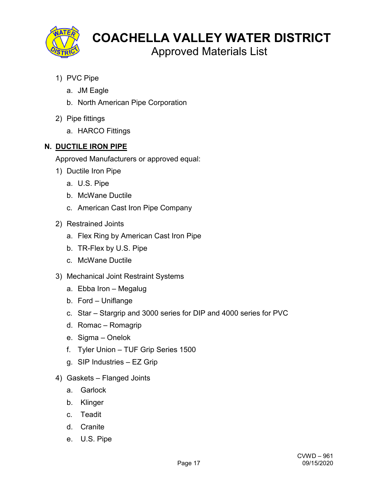

Approved Materials List

- 1) PVC Pipe
	- a. JM Eagle
	- b. North American Pipe Corporation
- 2) Pipe fittings
	- a. HARCO Fittings

# **N. DUCTILE IRON PIPE**

- 1) Ductile Iron Pipe
	- a. U.S. Pipe
	- b. McWane Ductile
	- c. American Cast Iron Pipe Company
- 2) Restrained Joints
	- a. Flex Ring by American Cast Iron Pipe
	- b. TR-Flex by U.S. Pipe
	- c. McWane Ductile
- 3) Mechanical Joint Restraint Systems
	- a. Ebba Iron Megalug
	- b. Ford Uniflange
	- c. Star Stargrip and 3000 series for DIP and 4000 series for PVC
	- d. Romac Romagrip
	- e. Sigma Onelok
	- f. Tyler Union TUF Grip Series 1500
	- g. SIP Industries EZ Grip
- 4) Gaskets Flanged Joints
	- a. Garlock
	- b. Klinger
	- c. Teadit
	- d. Cranite
	- e. U.S. Pipe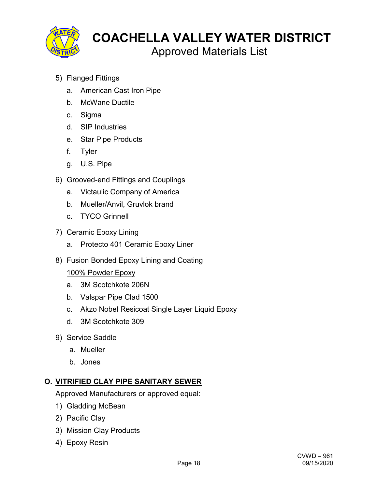

Approved Materials List

- 5) Flanged Fittings
	- a. American Cast Iron Pipe
	- b. McWane Ductile
	- c. Sigma
	- d. SIP Industries
	- e. Star Pipe Products
	- f. Tyler
	- g. U.S. Pipe
- 6) Grooved-end Fittings and Couplings
	- a. Victaulic Company of America
	- b. Mueller/Anvil, Gruvlok brand
	- c. TYCO Grinnell
- 7) Ceramic Epoxy Lining
	- a. Protecto 401 Ceramic Epoxy Liner
- 8) Fusion Bonded Epoxy Lining and Coating

#### 100% Powder Epoxy

- a. 3M Scotchkote 206N
- b. Valspar Pipe Clad 1500
- c. Akzo Nobel Resicoat Single Layer Liquid Epoxy
- d. 3M Scotchkote 309
- 9) Service Saddle
	- a. Mueller
	- b. Jones

#### **O. VITRIFIED CLAY PIPE SANITARY SEWER**

- 1) Gladding McBean
- 2) Pacific Clay
- 3) Mission Clay Products
- 4) Epoxy Resin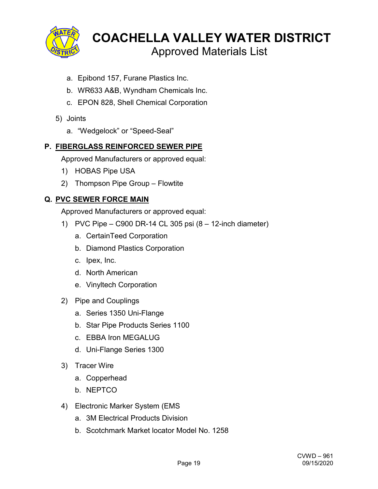

- a. Epibond 157, Furane Plastics Inc.
- b. WR633 A&B, Wyndham Chemicals Inc.
- c. EPON 828, Shell Chemical Corporation
- 5) Joints
	- a. "Wedgelock" or "Speed-Seal"

#### **P. FIBERGLASS REINFORCED SEWER PIPE**

Approved Manufacturers or approved equal:

- 1) HOBAS Pipe USA
- 2) Thompson Pipe Group Flowtite

#### **Q. PVC SEWER FORCE MAIN**

- 1) PVC Pipe C900 DR-14 CL 305 psi (8 12-inch diameter)
	- a. CertainTeed Corporation
	- b. Diamond Plastics Corporation
	- c. Ipex, Inc.
	- d. North American
	- e. Vinyltech Corporation
- 2) Pipe and Couplings
	- a. Series 1350 Uni-Flange
	- b. Star Pipe Products Series 1100
	- c. EBBA Iron MEGALUG
	- d. Uni-Flange Series 1300
- 3) Tracer Wire
	- a. Copperhead
	- b. NEPTCO
- 4) Electronic Marker System (EMS
	- a. 3M Electrical Products Division
	- b. Scotchmark Market locator Model No. 1258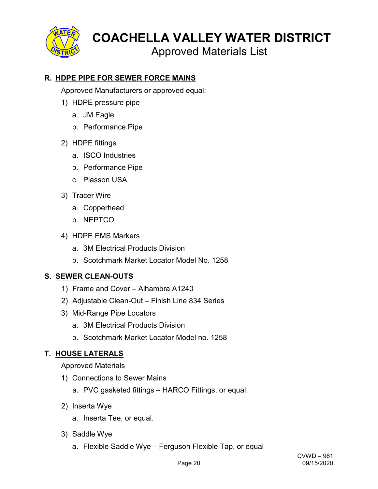

Approved Materials List

# **R. HDPE PIPE FOR SEWER FORCE MAINS**

Approved Manufacturers or approved equal:

- 1) HDPE pressure pipe
	- a. JM Eagle
	- b. Performance Pipe
- 2) HDPE fittings
	- a. ISCO Industries
	- b. Performance Pipe
	- c. Plasson USA
- 3) Tracer Wire
	- a. Copperhead
	- b. NEPTCO
- 4) HDPE EMS Markers
	- a. 3M Electrical Products Division
	- b. Scotchmark Market Locator Model No. 1258

# **S. SEWER CLEAN-OUTS**

- 1) Frame and Cover Alhambra A1240
- 2) Adjustable Clean-Out Finish Line 834 Series
- 3) Mid-Range Pipe Locators
	- a. 3M Electrical Products Division
	- b. Scotchmark Market Locator Model no. 1258

# **T. HOUSE LATERALS**

Approved Materials

- 1) Connections to Sewer Mains
	- a. PVC gasketed fittings HARCO Fittings, or equal.
- 2) Inserta Wye
	- a. Inserta Tee, or equal.
- 3) Saddle Wye
	- a. Flexible Saddle Wye Ferguson Flexible Tap, or equal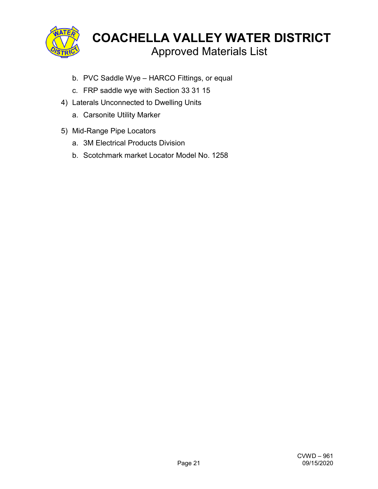

- b. PVC Saddle Wye HARCO Fittings, or equal
- c. FRP saddle wye with Section 33 31 15
- 4) Laterals Unconnected to Dwelling Units
	- a. Carsonite Utility Marker
- 5) Mid-Range Pipe Locators
	- a. 3M Electrical Products Division
	- b. Scotchmark market Locator Model No. 1258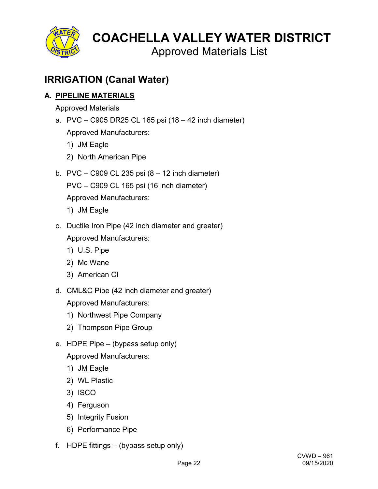

Approved Materials List

# **IRRIGATION (Canal Water)**

# **A. PIPELINE MATERIALS**

Approved Materials

- a. PVC C905 DR25 CL 165 psi (18 42 inch diameter) Approved Manufacturers:
	- 1) JM Eagle
	- 2) North American Pipe
- b. PVC C909 CL 235 psi  $(8 12$  inch diameter) PVC – C909 CL 165 psi (16 inch diameter) Approved Manufacturers:
	- 1) JM Eagle
- c. Ductile Iron Pipe (42 inch diameter and greater) Approved Manufacturers:
	- 1) U.S. Pipe
	- 2) Mc Wane
	- 3) American CI
- d. CML&C Pipe (42 inch diameter and greater)

- 1) Northwest Pipe Company
- 2) Thompson Pipe Group
- e. HDPE Pipe (bypass setup only) Approved Manufacturers:
	- 1) JM Eagle
	- 2) WL Plastic
	- 3) ISCO
	- 4) Ferguson
	- 5) Integrity Fusion
	- 6) Performance Pipe
- f. HDPE fittings (bypass setup only)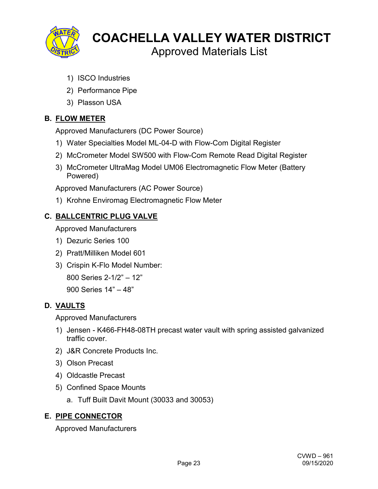

Approved Materials List

- 1) ISCO Industries
- 2) Performance Pipe
- 3) Plasson USA

# **B. FLOW METER**

Approved Manufacturers (DC Power Source)

- 1) Water Specialties Model ML-04-D with Flow-Com Digital Register
- 2) McCrometer Model SW500 with Flow-Com Remote Read Digital Register
- 3) McCrometer UltraMag Model UM06 Electromagnetic Flow Meter (Battery Powered)

Approved Manufacturers (AC Power Source)

1) Krohne Enviromag Electromagnetic Flow Meter

# **C. BALLCENTRIC PLUG VALVE**

Approved Manufacturers

- 1) Dezuric Series 100
- 2) Pratt/Milliken Model 601
- 3) Crispin K-Flo Model Number:

800 Series 2-1/2" – 12"

900 Series 14" – 48"

# **D. VAULTS**

Approved Manufacturers

- 1) Jensen K466-FH48-08TH precast water vault with spring assisted galvanized traffic cover.
- 2) J&R Concrete Products Inc.
- 3) Olson Precast
- 4) Oldcastle Precast
- 5) Confined Space Mounts
	- a. Tuff Built Davit Mount (30033 and 30053)

# **E. PIPE CONNECTOR**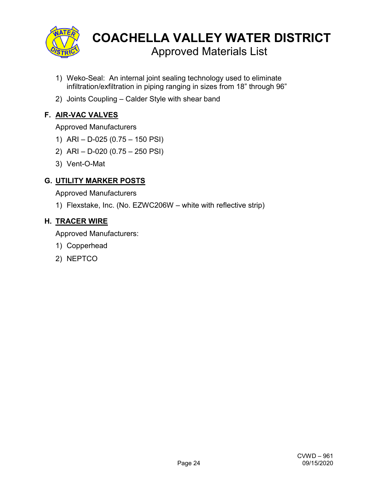

- 1) Weko-Seal: An internal joint sealing technology used to eliminate infiltration/exfiltration in piping ranging in sizes from 18" through 96"
- 2) Joints Coupling Calder Style with shear band

# **F. AIR-VAC VALVES**

#### Approved Manufacturers

- 1) ARI D-025 (0.75 150 PSI)
- 2) ARI D-020 (0.75 250 PSI)
- 3) Vent-O-Mat

# **G. UTILITY MARKER POSTS**

Approved Manufacturers

1) Flexstake, Inc. (No. EZWC206W – white with reflective strip)

#### **H. TRACER WIRE**

- 1) Copperhead
- 2) NEPTCO